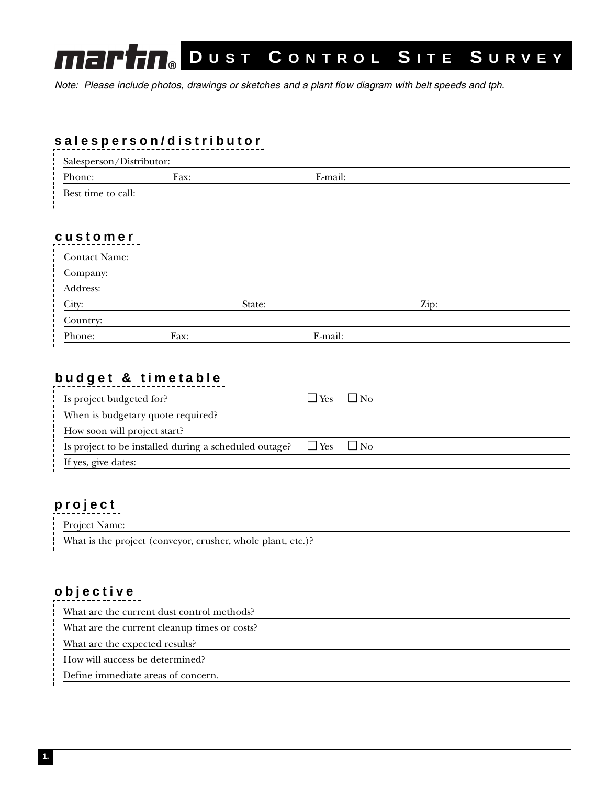**D UST C ONTROL S ITE S URVEY**

Note: Please include photos, drawings or sketches and a plant flow diagram with belt speeds and tph.

# **salesperson/distributor**

| : Salesperson/Distributor: |      |         |
|----------------------------|------|---------|
| Phone:                     | Fax: | E-mail: |
| Best time to call:         |      |         |
|                            |      |         |

#### **customer**

| .<br><b>Contact Name:</b> |      |        |         |      |  |
|---------------------------|------|--------|---------|------|--|
| Company:                  |      |        |         |      |  |
| Address:                  |      |        |         |      |  |
| City:                     |      | State: |         | Zip: |  |
| Country:                  |      |        |         |      |  |
| Phone:                    | Fax: |        | E-mail: |      |  |

# **budget & timetable**

| Is project budgeted for?                                                   | $\Box$ Yes $\Box$ No |
|----------------------------------------------------------------------------|----------------------|
| When is budgetary quote required?                                          |                      |
| How soon will project start?                                               |                      |
| Is project to be installed during a scheduled outage? $\Box$ Yes $\Box$ No |                      |
| If yes, give dates:                                                        |                      |

# **project**

| $\sim$ $\sim$<br>. |  |  |
|--------------------|--|--|
| <b>TATE</b>        |  |  |

#### What is the project (conveyor, crusher, whole plant, etc.)?

# **objective**

| What are the current dust control methods?   |  |
|----------------------------------------------|--|
| What are the current cleanup times or costs? |  |
| What are the expected results?               |  |
| : How will success be determined?            |  |
| : Define immediate areas of concern.         |  |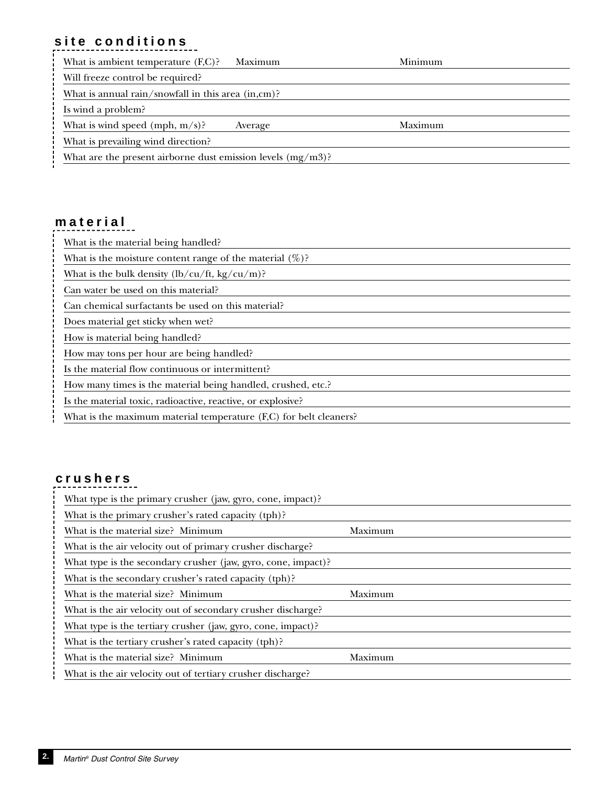# **site conditions**

| What is ambient temperature $(F,C)$ ?                          | Maximum | Minimum |
|----------------------------------------------------------------|---------|---------|
| Will freeze control be required?                               |         |         |
| What is annual rain/snowfall in this area $(in, cm)$ ?         |         |         |
| Is wind a problem?                                             |         |         |
| What is wind speed (mph, $m/s$ )?                              | Average | Maximum |
| What is prevailing wind direction?                             |         |         |
| What are the present airborne dust emission levels $(mg/m3)$ ? |         |         |

### **material**

| What is the material being handled?                               |
|-------------------------------------------------------------------|
| What is the moisture content range of the material $(\%)$ ?       |
| What is the bulk density (lb/cu/ft, kg/cu/m)?                     |
| Can water be used on this material?                               |
| Can chemical surfactants be used on this material?                |
| Does material get sticky when wet?                                |
| How is material being handled?                                    |
| How may tons per hour are being handled?                          |
| Is the material flow continuous or intermittent?                  |
| How many times is the material being handled, crushed, etc.?      |
| Is the material toxic, radioactive, reactive, or explosive?       |
| What is the maximum material temperature (F,C) for belt cleaners? |

# **crushers**

| What type is the primary crusher (jaw, gyro, cone, impact)?   |         |
|---------------------------------------------------------------|---------|
| What is the primary crusher's rated capacity (tph)?           |         |
| What is the material size? Minimum                            | Maximum |
| What is the air velocity out of primary crusher discharge?    |         |
| What type is the secondary crusher (jaw, gyro, cone, impact)? |         |
| What is the secondary crusher's rated capacity (tph)?         |         |
| What is the material size? Minimum                            | Maximum |
| What is the air velocity out of secondary crusher discharge?  |         |
| What type is the tertiary crusher (jaw, gyro, cone, impact)?  |         |
| What is the tertiary crusher's rated capacity (tph)?          |         |
| What is the material size? Minimum                            | Maximum |
| What is the air velocity out of tertiary crusher discharge?   |         |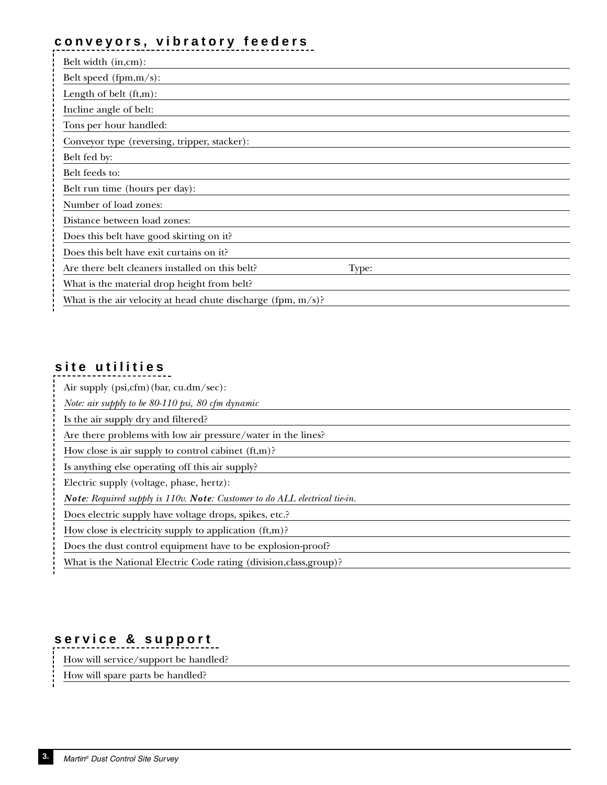#### **conveyors, vibratory feeders**

| Belt width (in,cm):                                             |       |
|-----------------------------------------------------------------|-------|
| Belt speed $(fpm,m/s)$ :                                        |       |
| Length of belt $(ft,m)$ :                                       |       |
| Incline angle of belt:                                          |       |
| Tons per hour handled:                                          |       |
| Conveyor type (reversing, tripper, stacker):                    |       |
| Belt fed by:                                                    |       |
| Belt feeds to:                                                  |       |
| Belt run time (hours per day):                                  |       |
| Number of load zones:                                           |       |
| Distance between load zones:                                    |       |
| Does this belt have good skirting on it?                        |       |
| Does this belt have exit curtains on it?                        |       |
| Are there belt cleaners installed on this belt?                 | Type: |
| What is the material drop height from belt?                     |       |
| What is the air velocity at head chute discharge (fpm, $m/s$ )? |       |

# **site utilities**

Air supply (psi,cfm)(bar, cu.dm/sec):

*Note: air supply to be 80-110 psi, 80 cfm dynamic*

Is the air supply dry and filtered?

Are there problems with low air pressure/water in the lines?

How close is air supply to control cabinet (ft,m)?

Is anything else operating off this air supply?

Electric supply (voltage, phase, hertz):

*Note: Required supply is 110v. Note: Customer to do ALL electrical tie-in.*

Does electric supply have voltage drops, spikes, etc.?

How close is electricity supply to application (ft,m)?

Does the dust control equipment have to be explosion-proof?

What is the National Electric Code rating (division,class,group)?

# **service & support**

How will service/support be handled?

How will spare parts be handled?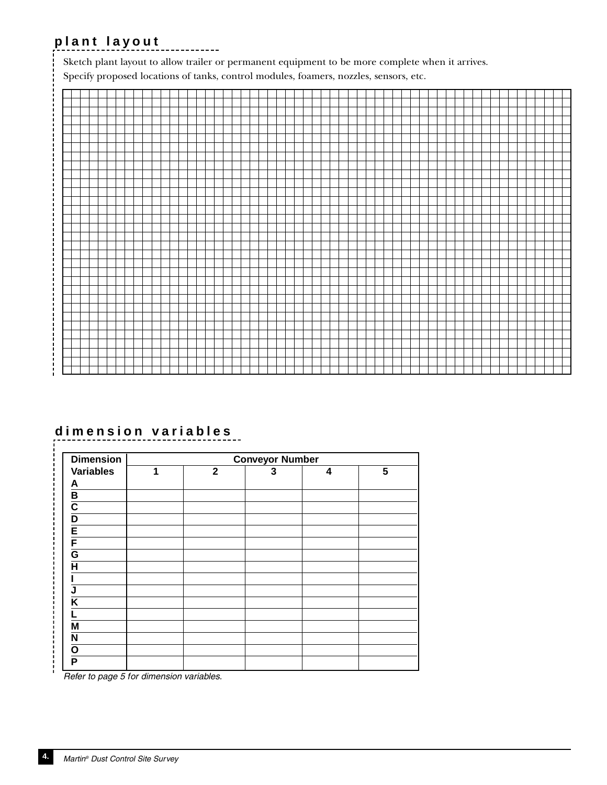# **plant layout**

Sketch plant layout to allow trailer or permanent equipment to be more complete when it arrives.

Specify proposed locations of tanks, control modules, foamers, nozzles, sensors, etc.

#### **dimension variables**

| <b>Dimension</b>        |   |              | <b>Conveyor Number</b> |   |           |
|-------------------------|---|--------------|------------------------|---|-----------|
| <b>Variables</b>        | 1 | $\mathbf{2}$ | 3                      | 4 | ${\bf 5}$ |
| $\overline{\mathbf{A}}$ |   |              |                        |   |           |
| $\overline{\mathbf{B}}$ |   |              |                        |   |           |
| $\overline{\mathsf{c}}$ |   |              |                        |   |           |
| D                       |   |              |                        |   |           |
| E                       |   |              |                        |   |           |
| F                       |   |              |                        |   |           |
| $\overline{\mathsf{G}}$ |   |              |                        |   |           |
| $\overline{\mathsf{H}}$ |   |              |                        |   |           |
|                         |   |              |                        |   |           |
| J                       |   |              |                        |   |           |
| $\overline{\mathsf{K}}$ |   |              |                        |   |           |
|                         |   |              |                        |   |           |
| M                       |   |              |                        |   |           |
| N                       |   |              |                        |   |           |
| $\overline{\mathbf{o}}$ |   |              |                        |   |           |
| $\overline{\mathsf{P}}$ |   |              |                        |   |           |

Refer to page 5 for dimension variables.